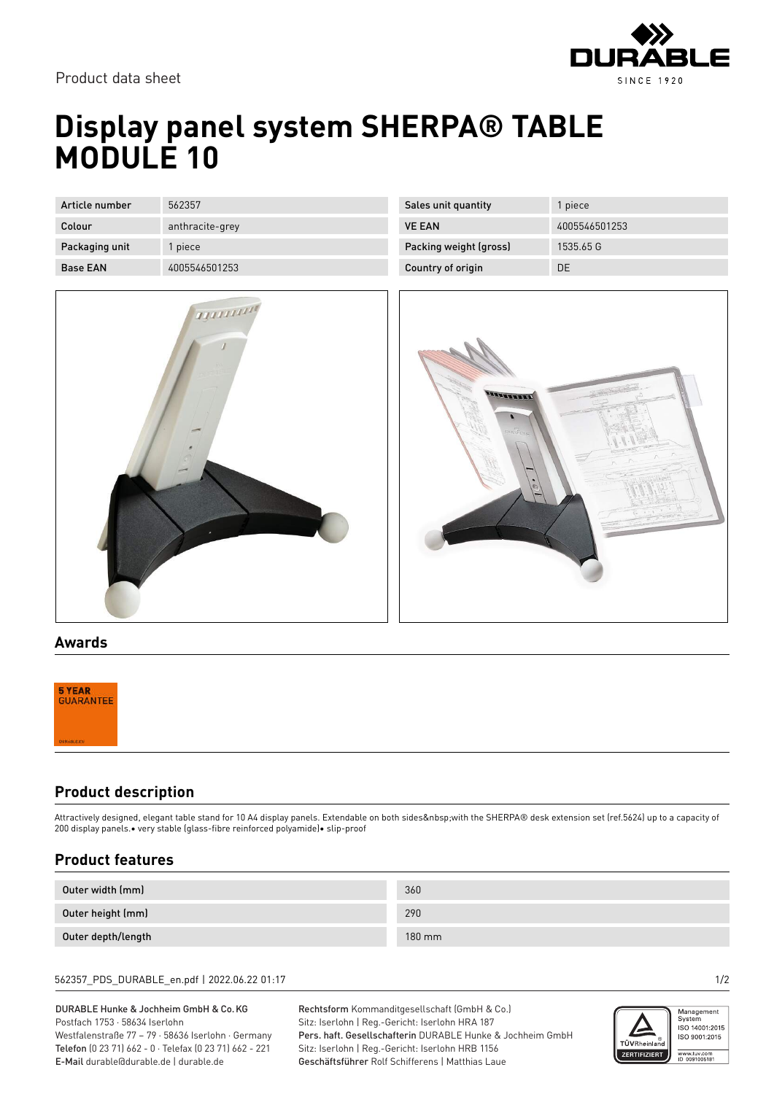

Product data sheet

# **Display panel system SHERPA® TABLE MODULE 10**

| Article number  | 562357          |
|-----------------|-----------------|
| Colour          | anthracite-grey |
| Packaging unit  | 1 piece         |
| <b>Base EAN</b> | 4005546501253   |



| Sales unit quantity    | 1 piece       |
|------------------------|---------------|
| <b>VE FAN</b>          | 4005546501253 |
| Packing weight (gross) | 1535.65 G     |
| Country of origin      | DE            |



#### **Awards**

### **Product description**

Attractively designed, elegant table stand for 10 A4 display panels. Extendable on both sides with the SHERPA® desk extension set (ref.5624) up to a capacity of 200 display panels.• very stable (glass-fibre reinforced polyamide)• slip-proof

### **Product features**

| Outer width (mm)   | 360    |
|--------------------|--------|
| Outer height (mm)  | 290    |
| Outer depth/length | 180 mm |

#### 562357\_PDS\_DURABLE\_en.pdf | 2022.06.22 01:17 1/2

DURABLE Hunke & Jochheim GmbH & Co.KG Postfach 1753 · 58634 Iserlohn Westfalenstraße 77 – 79 · 58636 Iserlohn · Germany Telefon (0 23 71) 662 - 0 · Telefax (0 23 71) 662 - 221 E-Mail durable@durable.de | durable.de

Rechtsform Kommanditgesellschaft (GmbH & Co.) Sitz: Iserlohn | Reg.-Gericht: Iserlohn HRA 187 Pers. haft. Gesellschafterin DURABLE Hunke & Jochheim GmbH Sitz: Iserlohn | Reg.-Gericht: Iserlohn HRB 1156 Geschäftsführer Rolf Schifferens | Matthias Laue